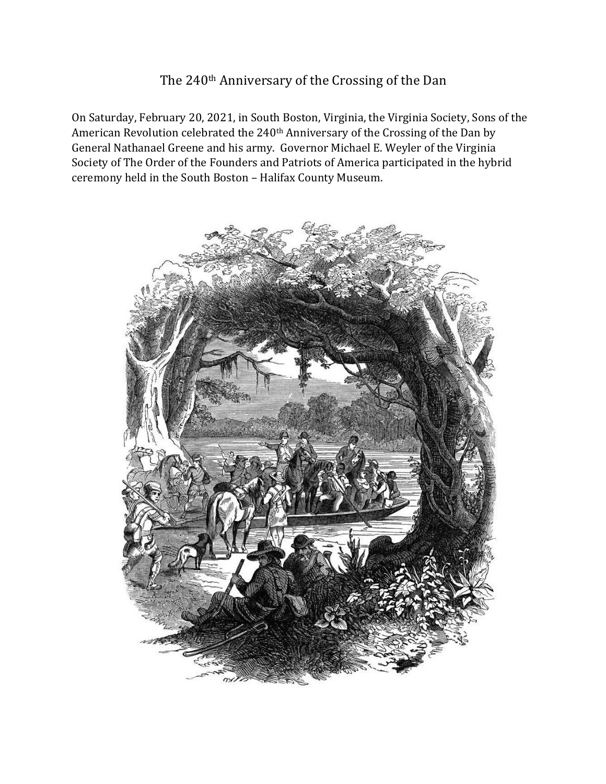## The 240<sup>th</sup> Anniversary of the Crossing of the Dan

On Saturday, February 20, 2021, in South Boston, Virginia, the Virginia Society, Sons of the American Revolution celebrated the 240<sup>th</sup> Anniversary of the Crossing of the Dan by General Nathanael Greene and his army. Governor Michael E. Weyler of the Virginia Society of The Order of the Founders and Patriots of America participated in the hybrid ceremony held in the South Boston - Halifax County Museum.

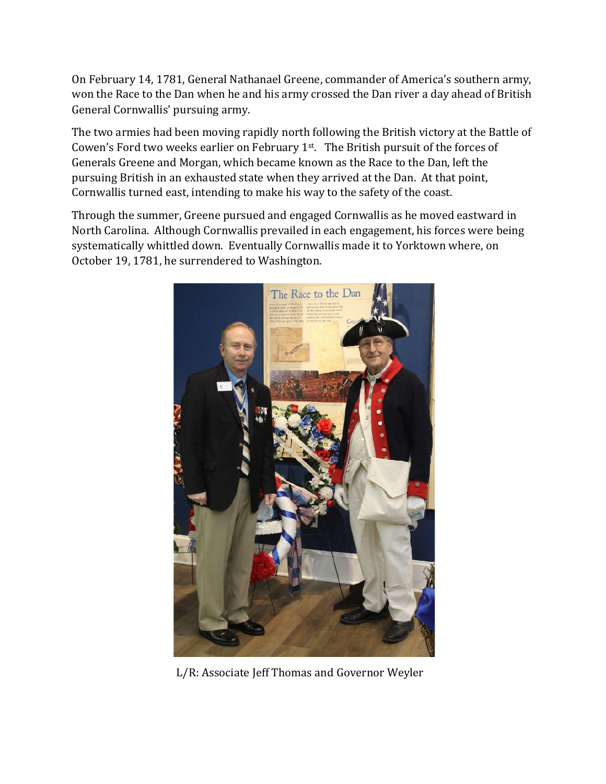On February 14, 1781, General Nathanael Greene, commander of America's southern army, won the Race to the Dan when he and his army crossed the Dan river a day ahead of British General Cornwallis' pursuing army.

The two armies had been moving rapidly north following the British victory at the Battle of Cowen's Ford two weeks earlier on February  $1<sup>st</sup>$ . The British pursuit of the forces of Generals Greene and Morgan, which became known as the Race to the Dan, left the pursuing British in an exhausted state when they arrived at the Dan. At that point, Cornwallis turned east, intending to make his way to the safety of the coast.

Through the summer, Greene pursued and engaged Cornwallis as he moved eastward in North Carolina. Although Cornwallis prevailed in each engagement, his forces were being systematically whittled down. Eventually Cornwallis made it to Yorktown where, on October 19, 1781, he surrendered to Washington.



L/R: Associate Jeff Thomas and Governor Weyler